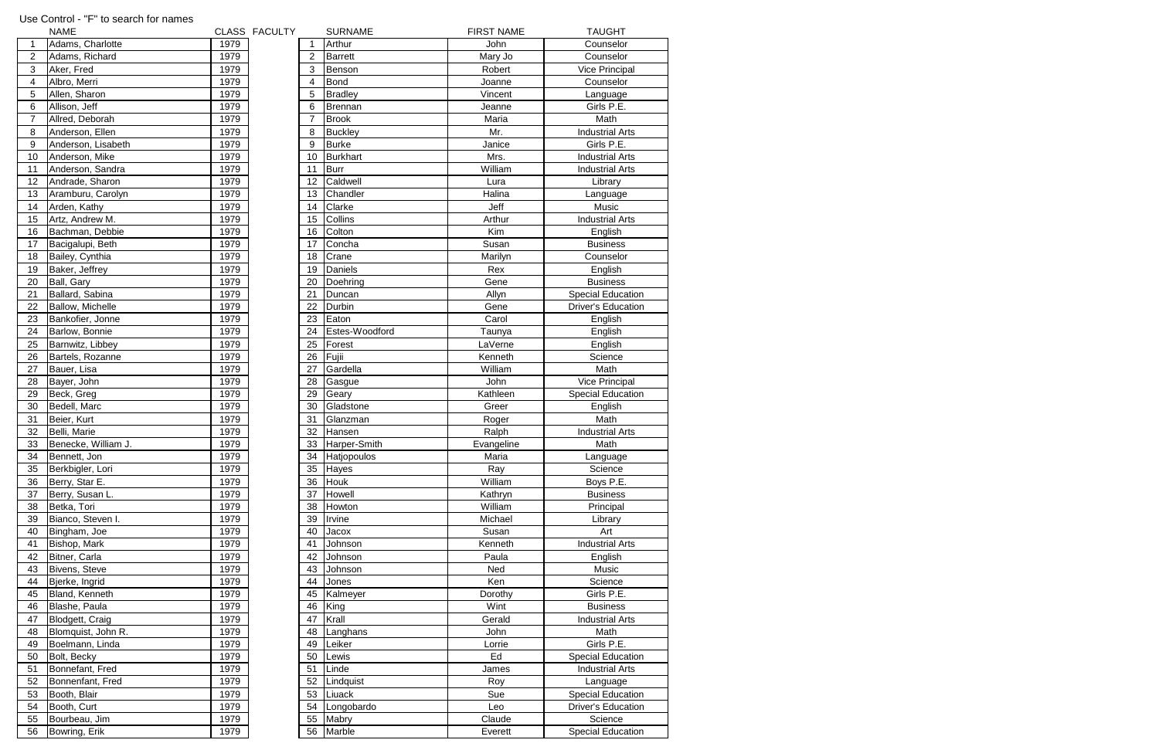|                  | <b>NAME</b>         |      | CLASS FACULTY |                | <b>SURNAME</b>  | <b>FIRST NAME</b> | <b>TAUGHT</b>             |
|------------------|---------------------|------|---------------|----------------|-----------------|-------------------|---------------------------|
| $\mathbf{1}$     | Adams, Charlotte    | 1979 |               | 1              | Arthur          | John              | Counselor                 |
| $\overline{2}$   | Adams, Richard      | 1979 |               | $\overline{2}$ | <b>Barrett</b>  | Mary Jo           | Counselor                 |
| $\sqrt{3}$       | Aker, Fred          | 1979 |               | 3              | Benson          | Robert            | <b>Vice Principal</b>     |
| $\overline{4}$   | Albro, Merri        | 1979 |               | 4              | <b>Bond</b>     | Joanne            | Counselor                 |
| 5                | Allen, Sharon       | 1979 |               | 5              | <b>Bradley</b>  | Vincent           | Language                  |
| $6\phantom{1}6$  | Allison, Jeff       | 1979 |               | 6              | Brennan         | Jeanne            | Girls P.E.                |
| $\overline{7}$   | Allred, Deborah     | 1979 |               | $\overline{7}$ | <b>Brook</b>    | Maria             | Math                      |
| 8                | Anderson, Ellen     | 1979 |               | 8              | <b>Buckley</b>  | Mr.               | <b>Industrial Arts</b>    |
| $\boldsymbol{9}$ | Anderson, Lisabeth  | 1979 |               | 9              | <b>Burke</b>    | Janice            | Girls P.E.                |
| 10 <sup>1</sup>  | Anderson, Mike      | 1979 |               | 10             | <b>Burkhart</b> | Mrs.              | <b>Industrial Arts</b>    |
| 11               | Anderson, Sandra    | 1979 |               | 11             | <b>Burr</b>     | William           | <b>Industrial Arts</b>    |
| 12               | Andrade, Sharon     | 1979 |               | 12             | Caldwell        | Lura              | Library                   |
| 13               | Aramburu, Carolyn   | 1979 |               | 13             | Chandler        | Halina            | Language                  |
| 14               | Arden, Kathy        | 1979 |               | 14             | Clarke          | Jeff              | Music                     |
| 15 <sub>1</sub>  | Artz, Andrew M.     | 1979 |               | 15             | Collins         | Arthur            | <b>Industrial Arts</b>    |
| 16               | Bachman, Debbie     | 1979 |               | 16             | Colton          | Kim               | English                   |
| 17               | Bacigalupi, Beth    | 1979 |               | 17             | Concha          | Susan             | <b>Business</b>           |
| 18               | Bailey, Cynthia     | 1979 |               | 18             | Crane           | Marilyn           | Counselor                 |
| 19               | Baker, Jeffrey      | 1979 |               | 19             | Daniels         | Rex               | English                   |
| 20               |                     | 1979 |               | 20             | Doehring        | Gene              | <b>Business</b>           |
| 21               | Ball, Gary          | 1979 |               |                |                 |                   |                           |
|                  | Ballard, Sabina     |      |               | 21             | Duncan          | Allyn             | <b>Special Education</b>  |
| 22               | Ballow, Michelle    | 1979 |               | 22             | Durbin          | Gene              | <b>Driver's Education</b> |
| 23               | Bankofier, Jonne    | 1979 |               | 23             | Eaton           | Carol             | English                   |
| 24               | Barlow, Bonnie      | 1979 |               | 24             | Estes-Woodford  | Taunya            | English                   |
| 25               | Barnwitz, Libbey    | 1979 |               | 25             | Forest          | LaVerne           | English                   |
| 26               | Bartels, Rozanne    | 1979 |               | 26             | Fujii           | Kenneth           | Science                   |
| 27               | Bauer, Lisa         | 1979 |               | 27             | Gardella        | William           | Math                      |
| 28               | Bayer, John         | 1979 |               | 28             | Gasgue          | John              | Vice Principal            |
| 29               | Beck, Greg          | 1979 |               | 29             | Geary           | Kathleen          | <b>Special Education</b>  |
| 30               | Bedell, Marc        | 1979 |               | 30             | Gladstone       | Greer             | English                   |
| 31               | Beier, Kurt         | 1979 |               | 31             | Glanzman        | Roger             | Math                      |
| 32               | Belli, Marie        | 1979 |               | 32             | Hansen          | Ralph             | <b>Industrial Arts</b>    |
| 33               | Benecke, William J. | 1979 |               | 33             | Harper-Smith    | Evangeline        | Math                      |
| 34               | Bennett, Jon        | 1979 |               | 34             | Hatjopoulos     | Maria             | Language                  |
| 35               | Berkbigler, Lori    | 1979 |               | 35             | Hayes           | Ray               | Science                   |
| 36               | Berry, Star E.      | 1979 |               | 36             | Houk            | William           | Boys P.E.                 |
| 37               | Berry, Susan L.     | 1979 |               | 37             | Howell          | Kathryn           | <b>Business</b>           |
| 38               | Betka, Tori         | 1979 |               | 38             | Howton          | William           | Principal                 |
| 39               | Bianco, Steven I.   | 1979 |               | 39             | Irvine          | Michael           | Library                   |
| 40               | Bingham, Joe        | 1979 |               | 40             | Jacox           | Susan             | Art                       |
| 41               | Bishop, Mark        | 1979 |               | 41             | Johnson         | Kenneth           | <b>Industrial Arts</b>    |
| 42               | Bitner, Carla       | 1979 |               | 42             | Johnson         | Paula             | English                   |
| 43               | Bivens, Steve       | 1979 |               | 43             | Johnson         | Ned               | Music                     |
| 44               | Bjerke, Ingrid      | 1979 |               | 44             | Jones           | Ken               | Science                   |
| 45               | Bland, Kenneth      | 1979 |               | 45             | Kalmeyer        | Dorothy           | Girls P.E.                |
| 46               | Blashe, Paula       | 1979 |               | 46             | King            | Wint              | <b>Business</b>           |
| 47               | Blodgett, Craig     | 1979 |               | 47             | Krall           | Gerald            | <b>Industrial Arts</b>    |
| 48               | Blomquist, John R.  | 1979 |               | 48             | Langhans        | John              | Math                      |
| 49               | Boelmann, Linda     | 1979 |               | 49             | Leiker          | Lorrie            | Girls P.E.                |
| 50               | Bolt, Becky         | 1979 |               | 50             | Lewis           | Ed                | <b>Special Education</b>  |
| 51               | Bonnefant, Fred     | 1979 |               | 51             | Linde           | James             | <b>Industrial Arts</b>    |
| <u>52</u>        | Bonnenfant, Fred    | 1979 |               | 52             | Lindquist       | Roy               | Language                  |
| 53               | Booth, Blair        | 1979 |               | 53             | Liuack          | Sue               | <b>Special Education</b>  |
| 54               | Booth, Curt         | 1979 |               | 54             | Longobardo      | Leo               | <b>Driver's Education</b> |
| 55               | Bourbeau, Jim       | 1979 |               | 55             | Mabry           | Claude            | Science                   |
| 56               | Bowring, Erik       | 1979 |               | 56             | Marble          | Everett           | <b>Special Education</b>  |
|                  |                     |      |               |                |                 |                   |                           |

## Use Control - "F" to search for names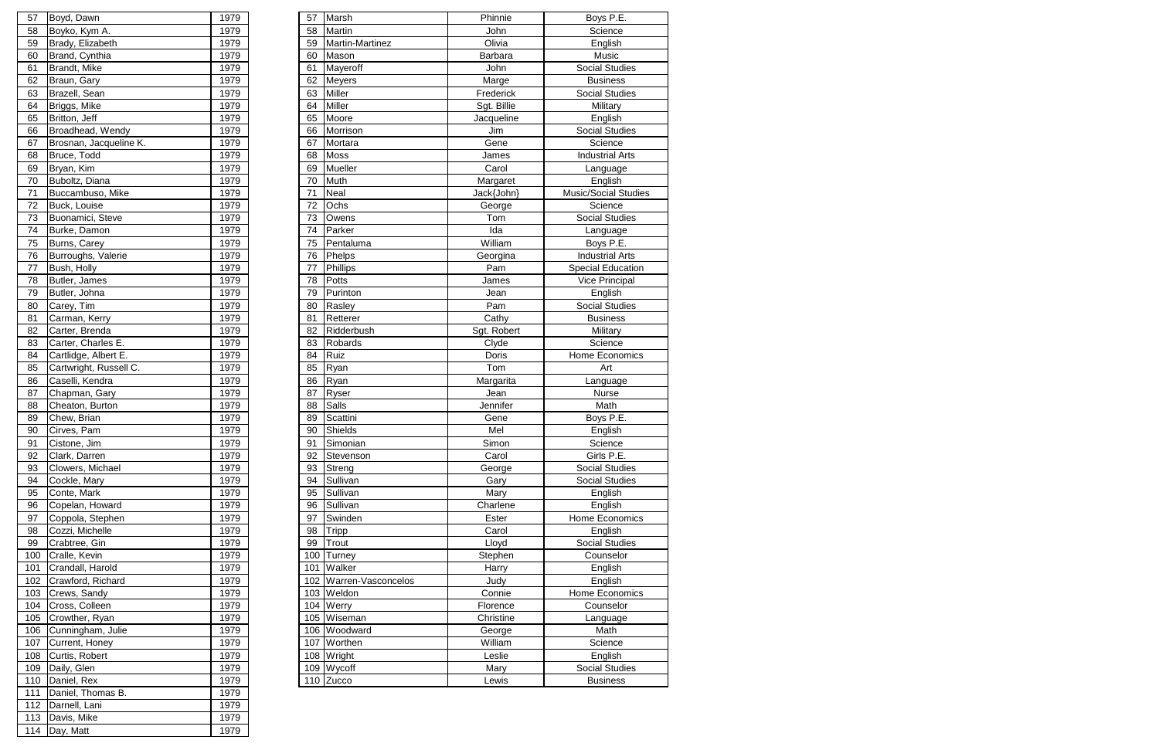| 57  | Boyd, Dawn             | 1979 | 57  | Marsh                  | Phinnie     | Boys P.E.                   |
|-----|------------------------|------|-----|------------------------|-------------|-----------------------------|
| 58  | Boyko, Kym A.          | 1979 | 58  | Martin                 | John        | Science                     |
| 59  | Brady, Elizabeth       | 1979 | 59  | Martin-Martinez        | Olivia      | English                     |
| 60  | Brand, Cynthia         | 1979 | 60  | Mason                  | Barbara     | Music                       |
| 61  | Brandt, Mike           | 1979 | 61  | Mayeroff               | John        | <b>Social Studies</b>       |
| 62  | Braun, Gary            | 1979 | 62  | Meyers                 | Marge       | <b>Business</b>             |
| 63  | Brazell, Sean          | 1979 | 63  | Miller                 | Frederick   | <b>Social Studies</b>       |
| 64  | Briggs, Mike           | 1979 | 64  | Miller                 | Sgt. Billie | Military                    |
| 65  | Britton, Jeff          | 1979 | 65  | Moore                  | Jacqueline  | English                     |
| 66  | Broadhead, Wendy       | 1979 | 66  | Morrison               | Jim         | <b>Social Studies</b>       |
| 67  | Brosnan, Jacqueline K. | 1979 | 67  | Mortara                | Gene        | Science                     |
| 68  | Bruce, Todd            | 1979 | 68  | <b>Moss</b>            | James       | <b>Industrial Arts</b>      |
| 69  | Bryan, Kim             | 1979 | 69  | Mueller                | Carol       | Language                    |
| 70  | Buboltz, Diana         | 1979 | 70  | Muth                   | Margaret    | English                     |
| 71  | Buccambuso, Mike       | 1979 | 71  | <b>Neal</b>            | Jack{John}  | <b>Music/Social Studies</b> |
| 72  | Buck, Louise           | 1979 | 72  | Ochs                   | George      | Science                     |
| 73  | Buonamici, Steve       | 1979 | 73  | Owens                  | Tom         | <b>Social Studies</b>       |
| 74  | Burke, Damon           | 1979 | 74  | Parker                 | Ida         | Language                    |
| 75  | Burns, Carey           | 1979 | 75  | Pentaluma              | William     | Boys P.E.                   |
| 76  | Burroughs, Valerie     | 1979 | 76  | Phelps                 | Georgina    | <b>Industrial Arts</b>      |
| 77  | Bush, Holly            | 1979 | 77  | Phillips               | Pam         | Special Education           |
| 78  | Butler, James          | 1979 | 78  | Potts                  | James       | <b>Vice Principal</b>       |
| 79  | Butler, Johna          | 1979 | 79  | Purinton               | Jean        | English                     |
| 80  | Carey, Tim             | 1979 | 80  | Rasley                 | Pam         | <b>Social Studies</b>       |
| 81  | Carman, Kerry          | 1979 | 81  | Retterer               | Cathy       | <b>Business</b>             |
| 82  | Carter, Brenda         | 1979 | 82  | Ridderbush             | Sgt. Robert | Military                    |
| 83  | Carter, Charles E.     | 1979 | 83  | Robards                | Clyde       | Science                     |
| 84  | Cartlidge, Albert E.   | 1979 | 84  | Ruiz                   | Doris       | Home Economics              |
| 85  | Cartwright, Russell C. | 1979 | 85  | Ryan                   | Tom         | Art                         |
| 86  | Caselli, Kendra        | 1979 | 86  | Ryan                   | Margarita   | Language                    |
| 87  | Chapman, Gary          | 1979 | 87  | Ryser                  | Jean        | Nurse                       |
| 88  | Cheaton, Burton        | 1979 | 88  | Salls                  | Jennifer    | Math                        |
| 89  | Chew, Brian            | 1979 | 89  | Scattini               | Gene        | Boys P.E.                   |
| 90  | Cirves, Pam            | 1979 | 90  | Shields                | Mel         | English                     |
| 91  | Cistone, Jim           | 1979 | 91  | Simonian               | Simon       | Science                     |
| 92  | Clark, Darren          | 1979 | 92  | Stevenson              | Carol       | Girls P.E.                  |
| 93  | Clowers, Michael       | 1979 | 93  | Streng                 | George      | <b>Social Studies</b>       |
| 94  | Cockle, Mary           | 1979 | 94  | Sullivan               | Gary        | <b>Social Studies</b>       |
| 95  | Conte, Mark            | 1979 | 95  | Sullivan               | Mary        | English                     |
| 96  | Copelan, Howard        | 1979 | 96  | Sullivan               | Charlene    | English                     |
| 97  | Coppola, Stephen       | 1979 | 97  | Swinden                | Ester       | Home Economics              |
| 98  | Cozzi, Michelle        | 1979 | 98  | <b>Tripp</b>           | Carol       | English                     |
| 99  | Crabtree, Gin          | 1979 | 99  | Trout                  | Lloyd       | Social Studies              |
| 100 | Cralle, Kevin          | 1979 | 100 | Turney                 | Stephen     | Counselor                   |
| 101 | Crandall, Harold       | 1979 | 101 | Walker                 | Harry       | English                     |
|     | 102 Crawford, Richard  | 1979 |     | 102 Warren-Vasconcelos | Judy        | English                     |
| 103 | Crews, Sandy           | 1979 |     | 103 Weldon             | Connie      | Home Economics              |
|     | 104 Cross, Colleen     | 1979 | 104 | Werry                  | Florence    | Counselor                   |
|     | 105 Crowther, Ryan     | 1979 |     | 105 Wiseman            | Christine   | Language                    |
|     | 106 Cunningham, Julie  | 1979 |     | 106 Woodward           | George      | Math                        |
|     | 107 Current, Honey     | 1979 |     | 107 Worthen            | William     | Science                     |
|     | 108 Curtis, Robert     | 1979 |     | 108 Wright             | Leslie      | English                     |
|     | 109   Daily, Glen      | 1979 |     | 109 Wycoff             | Mary        | <b>Social Studies</b>       |
|     | 110 Daniel, Rex        | 1979 |     | $110$ Zucco            | Lewis       | <b>Business</b>             |

| Boyd, Dawn                   | 1979                                                                                                                                                                                                                                                                                                                                                                                                                                                                                                                                                      |
|------------------------------|-----------------------------------------------------------------------------------------------------------------------------------------------------------------------------------------------------------------------------------------------------------------------------------------------------------------------------------------------------------------------------------------------------------------------------------------------------------------------------------------------------------------------------------------------------------|
| Boyko, Kym A.                | 1979                                                                                                                                                                                                                                                                                                                                                                                                                                                                                                                                                      |
| Brady, Elizabeth             | 1979                                                                                                                                                                                                                                                                                                                                                                                                                                                                                                                                                      |
|                              | 1979                                                                                                                                                                                                                                                                                                                                                                                                                                                                                                                                                      |
| Brandt, Mike                 | 1979                                                                                                                                                                                                                                                                                                                                                                                                                                                                                                                                                      |
|                              | 1979                                                                                                                                                                                                                                                                                                                                                                                                                                                                                                                                                      |
|                              | 1979                                                                                                                                                                                                                                                                                                                                                                                                                                                                                                                                                      |
|                              | 1979                                                                                                                                                                                                                                                                                                                                                                                                                                                                                                                                                      |
|                              | 1979                                                                                                                                                                                                                                                                                                                                                                                                                                                                                                                                                      |
|                              | 1979                                                                                                                                                                                                                                                                                                                                                                                                                                                                                                                                                      |
|                              | 1979                                                                                                                                                                                                                                                                                                                                                                                                                                                                                                                                                      |
|                              | 1979                                                                                                                                                                                                                                                                                                                                                                                                                                                                                                                                                      |
|                              | 1979                                                                                                                                                                                                                                                                                                                                                                                                                                                                                                                                                      |
|                              | 1979                                                                                                                                                                                                                                                                                                                                                                                                                                                                                                                                                      |
|                              | 1979                                                                                                                                                                                                                                                                                                                                                                                                                                                                                                                                                      |
|                              | 1979                                                                                                                                                                                                                                                                                                                                                                                                                                                                                                                                                      |
|                              | 1979                                                                                                                                                                                                                                                                                                                                                                                                                                                                                                                                                      |
|                              | 1979                                                                                                                                                                                                                                                                                                                                                                                                                                                                                                                                                      |
|                              | 1979                                                                                                                                                                                                                                                                                                                                                                                                                                                                                                                                                      |
|                              | 1979                                                                                                                                                                                                                                                                                                                                                                                                                                                                                                                                                      |
|                              | 1979                                                                                                                                                                                                                                                                                                                                                                                                                                                                                                                                                      |
|                              |                                                                                                                                                                                                                                                                                                                                                                                                                                                                                                                                                           |
|                              | 1979                                                                                                                                                                                                                                                                                                                                                                                                                                                                                                                                                      |
|                              | 1979                                                                                                                                                                                                                                                                                                                                                                                                                                                                                                                                                      |
|                              | 1979                                                                                                                                                                                                                                                                                                                                                                                                                                                                                                                                                      |
|                              | 1979                                                                                                                                                                                                                                                                                                                                                                                                                                                                                                                                                      |
|                              | 1979                                                                                                                                                                                                                                                                                                                                                                                                                                                                                                                                                      |
|                              | 1979                                                                                                                                                                                                                                                                                                                                                                                                                                                                                                                                                      |
|                              | 1979                                                                                                                                                                                                                                                                                                                                                                                                                                                                                                                                                      |
|                              | 1979                                                                                                                                                                                                                                                                                                                                                                                                                                                                                                                                                      |
|                              | 1979                                                                                                                                                                                                                                                                                                                                                                                                                                                                                                                                                      |
|                              | 1979                                                                                                                                                                                                                                                                                                                                                                                                                                                                                                                                                      |
|                              | 1979                                                                                                                                                                                                                                                                                                                                                                                                                                                                                                                                                      |
|                              | 1979                                                                                                                                                                                                                                                                                                                                                                                                                                                                                                                                                      |
|                              | 1979                                                                                                                                                                                                                                                                                                                                                                                                                                                                                                                                                      |
| Cistone, Jim                 |                                                                                                                                                                                                                                                                                                                                                                                                                                                                                                                                                           |
|                              | 1979                                                                                                                                                                                                                                                                                                                                                                                                                                                                                                                                                      |
| Clark, Darren                | 1979                                                                                                                                                                                                                                                                                                                                                                                                                                                                                                                                                      |
| Clowers, Michael             | 1979                                                                                                                                                                                                                                                                                                                                                                                                                                                                                                                                                      |
| Cockle, Mary                 | 1979                                                                                                                                                                                                                                                                                                                                                                                                                                                                                                                                                      |
| Conte, Mark                  | 1979                                                                                                                                                                                                                                                                                                                                                                                                                                                                                                                                                      |
| Copelan, Howard              | 1979                                                                                                                                                                                                                                                                                                                                                                                                                                                                                                                                                      |
| Coppola, Stephen             | 1979                                                                                                                                                                                                                                                                                                                                                                                                                                                                                                                                                      |
| Cozzi, Michelle              | 1979                                                                                                                                                                                                                                                                                                                                                                                                                                                                                                                                                      |
| Crabtree, Gin                | 1979                                                                                                                                                                                                                                                                                                                                                                                                                                                                                                                                                      |
| Cralle, Kevin                | 1979                                                                                                                                                                                                                                                                                                                                                                                                                                                                                                                                                      |
| Crandall, Harold             | 1979                                                                                                                                                                                                                                                                                                                                                                                                                                                                                                                                                      |
| Crawford, Richard            | 1979                                                                                                                                                                                                                                                                                                                                                                                                                                                                                                                                                      |
| Crews, Sandy                 | 1979                                                                                                                                                                                                                                                                                                                                                                                                                                                                                                                                                      |
| Cross, Colleen               | 1979                                                                                                                                                                                                                                                                                                                                                                                                                                                                                                                                                      |
| Crowther, Ryan               | 1979                                                                                                                                                                                                                                                                                                                                                                                                                                                                                                                                                      |
| Cunningham, Julie            | 1979                                                                                                                                                                                                                                                                                                                                                                                                                                                                                                                                                      |
|                              |                                                                                                                                                                                                                                                                                                                                                                                                                                                                                                                                                           |
| Current, Honey               | 1979                                                                                                                                                                                                                                                                                                                                                                                                                                                                                                                                                      |
| Curtis, Robert               | 1979                                                                                                                                                                                                                                                                                                                                                                                                                                                                                                                                                      |
| Daily, Glen                  | 1979                                                                                                                                                                                                                                                                                                                                                                                                                                                                                                                                                      |
| Daniel, Rex                  | 1979                                                                                                                                                                                                                                                                                                                                                                                                                                                                                                                                                      |
| Daniel, Thomas B.            | 1979                                                                                                                                                                                                                                                                                                                                                                                                                                                                                                                                                      |
| Darnell, Lani<br>Davis, Mike | 1979<br>1979                                                                                                                                                                                                                                                                                                                                                                                                                                                                                                                                              |
|                              | Brand, Cynthia<br>Braun, Gary<br>Brazell, Sean<br>Briggs, Mike<br>Britton, Jeff<br>Broadhead, Wendy<br>Brosnan, Jacqueline K.<br>Bruce, Todd<br>Bryan, Kim<br>Buboltz, Diana<br>Buccambuso, Mike<br>Buck, Louise<br>Buonamici, Steve<br>Burke, Damon<br>Burns, Carey<br>Burroughs, Valerie<br>Bush, Holly<br>Butler, James<br>Butler, Johna<br>Carey, Tim<br>Carman, Kerry<br>Carter, Brenda<br>Carter, Charles E.<br>Cartlidge, Albert E.<br>Cartwright, Russell C.<br>Caselli, Kendra<br>Chapman, Gary<br>Cheaton, Burton<br>Chew, Brian<br>Cirves, Pam |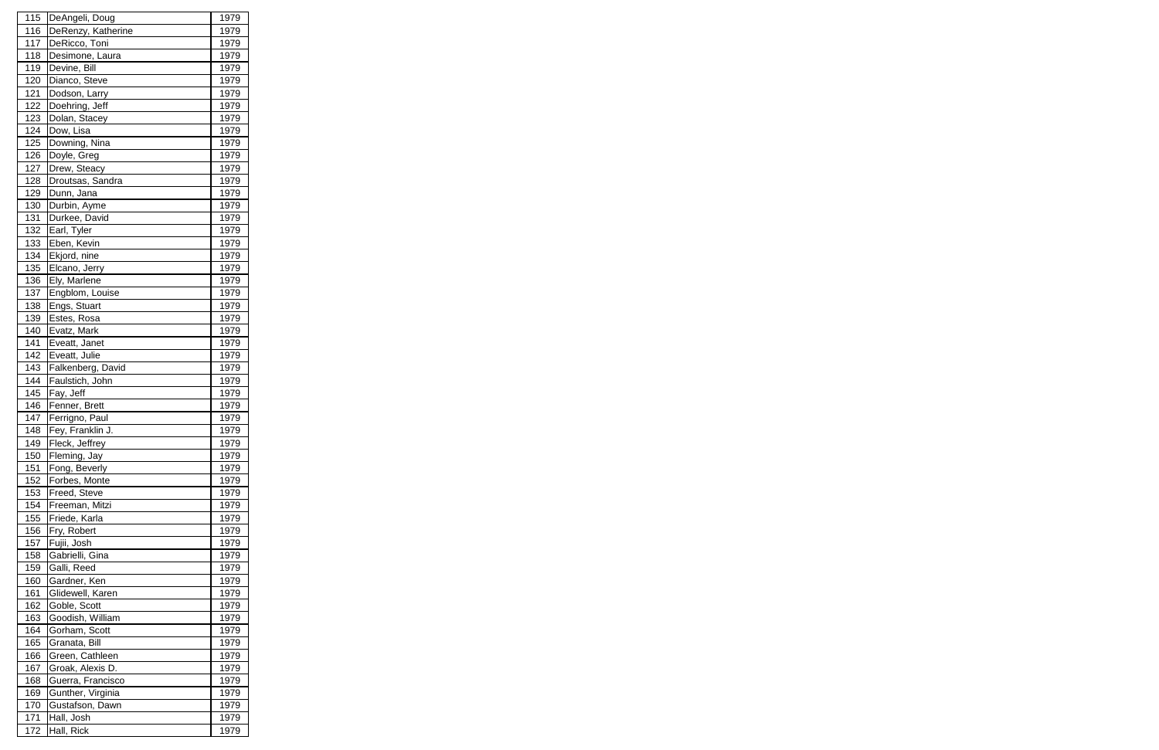| 115        | DeAngeli, Doug     | 1979         |
|------------|--------------------|--------------|
| 116        | DeRenzy, Katherine | 1979         |
| 117        | DeRicco, Toni      | 1979         |
| 118        | Desimone, Laura    | 1979         |
| 119        | Devine, Bill       | 1979         |
| 120        | Dianco, Steve      | 1979         |
| 121        | Dodson, Larry      | 1979         |
| 122        | Doehring, Jeff     | 1979         |
| 123        | Dolan, Stacey      | 1979         |
| 124        | Dow, Lisa          | 1979         |
| 125        | Downing, Nina      | 1979         |
| 126        | Doyle, Greg        | 1979         |
| 127        | Drew, Steacy       | 1979         |
| 128        | Droutsas, Sandra   | 1979         |
| 129        | Dunn, Jana         | 1979         |
| 130        | Durbin, Ayme       | 1979         |
| 131        | Durkee, David      | 1979         |
| 132        | Earl, Tyler        | 1979         |
| 133        | Eben, Kevin        | 1979         |
| 134        | Ekjord, nine       | 1979         |
| 135        | Elcano, Jerry      | 1979         |
| 136        | Ely, Marlene       | 1979         |
| 137        | Engblom, Louise    | 1979         |
| 138        | Engs, Stuart       | 1979         |
| 139        | Estes, Rosa        | 1979         |
| 140        | Evatz, Mark        | 1979         |
| 141        | Eveatt, Janet      | 1979         |
| 142        | Eveatt, Julie      | 1979         |
| 143        | Falkenberg, David  | 1979         |
| 144        | Faulstich, John    | 1979         |
| 145        | Fay, Jeff          | 1979         |
| 146        | Fenner, Brett      | 1979         |
| 147        | Ferrigno, Paul     | 1979         |
| <u>148</u> | Fey, Franklin J.   | <u> 1979</u> |
| 149        | Fleck, Jeffrey     | 1979         |
| 150        | Fleming, Jay       | 1979         |
| 151        | Fong, Beverly      | 1979         |
| 152        | Forbes, Monte      | 1979         |
| 153        | Freed, Steve       | 1979         |
| 154        | Freeman, Mitzi     | 1979         |
| 155        | Friede, Karla      | 1979         |
| 156        | Fry, Robert        | 1979         |
| 157        | Fujii, Josh        | 1979         |
| 158        | Gabrielli, Gina    | 1979         |
| 159        | Galli, Reed        | 1979         |
| 160        | Gardner, Ken       | 1979         |
| 161        | Glidewell, Karen   | 1979         |
| 162        | Goble, Scott       | 1979         |
| 163        | Goodish, William   | 1979         |
| 164        | Gorham, Scott      | 1979         |
| 165        | Granata, Bill      | 1979         |
| 166        | Green, Cathleen    | 1979         |
| 167        | Groak, Alexis D.   | 1979         |
| 168        | Guerra, Francisco  | 1979         |
| 169        | Gunther, Virginia  | 1979         |
| 170        | Gustafson, Dawn    | 1979         |
| 171        | Hall, Josh         | 1979         |
| 172        | Hall, Rick         | 1979         |
|            |                    |              |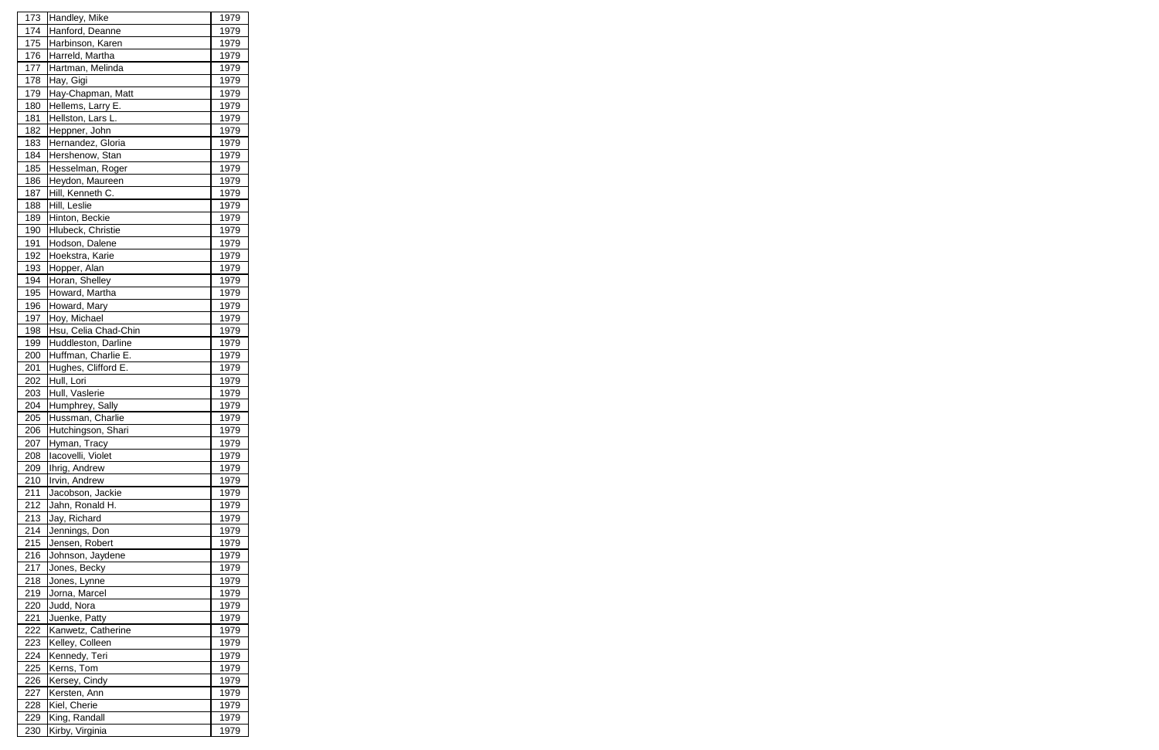| 173        | Handley, Mike                 | 1979         |
|------------|-------------------------------|--------------|
| 174        | Hanford, Deanne               | 1979         |
| 175        | Harbinson, Karen              | 1979         |
| 176        | Harreld, Martha               | 1979         |
| 177        | Hartman, Melinda              | 1979         |
| 178        | Hay, Gigi                     | 1979         |
| 179        | Hay-Chapman, Matt             | 1979         |
| 180        | Hellems, Larry E.             | 1979         |
| 181        | Hellston, Lars L.             | 1979         |
| 182        | Heppner, John                 | 1979         |
| 183        | Hernandez, Gloria             | 1979         |
| 184        | Hershenow, Stan               | 1979         |
| 185        | Hesselman, Roger              | 1979         |
| 186        | Heydon, Maureen               | 1979         |
| 187        | Hill, Kenneth C.              | 1979         |
| 188        | Hill, Leslie                  | 1979         |
| 189        | Hinton, Beckie                | 1979         |
| 190        | Hlubeck, Christie             |              |
|            |                               | 1979         |
| 191        | Hodson, Dalene                | 1979         |
| 192        | Hoekstra, Karie               | 1979         |
| 193        | Hopper, Alan                  | 1979         |
| 194        | Horan, Shelley                | 1979         |
| 195        | Howard, Martha                | 1979         |
| 196        | Howard, Mary                  | 1979         |
| 197        | Hoy, Michael                  | 1979         |
| 198        | Hsu, Celia Chad-Chin          | 1979         |
| 199        | Huddleston, Darline           | 1979         |
| 200        | Huffman, Charlie E.           | 1979         |
| 201        | Hughes, Clifford E.           | 1979         |
| 202        | Hull, Lori                    | 1979         |
| 203        | Hull, Vaslerie                | 1979         |
| 204        | Humphrey, Sally               | 1979         |
| 205        | Hussman, Charlie              | 1979         |
| <b>206</b> | Hutchingson, Shari            | <u>1979</u>  |
| 207        | Hyman, Tracy                  | 1979         |
| 208        | lacovelli, Violet             | 1979         |
| 209        | Ihrig, Andrew                 | 1979         |
| 210        | Irvin, Andrew                 | 1979         |
| 211        | Jacobson, Jackie              | 1979         |
| 212        | Jahn, Ronald H.               | 1979         |
| 213        | Jay, Richard                  | 1979         |
| 214        | Jennings, Don                 | 1979         |
| 215        | Jensen, Robert                | 1979         |
| 216        | Johnson, Jaydene              | 1979         |
| 217        | Jones, Becky                  | 1979         |
| 218        | Jones, Lynne                  | 1979         |
| 219        | Jorna, Marcel                 | 1979         |
| 220        | Judd, Nora                    | 1979         |
| 221        | Juenke, Patty                 | 1979         |
| 222        | Kanwetz, Catherine            | 1979         |
| 223        | Kelley, Colleen               | 1979         |
| 224        | Kennedy, Teri                 | 1979         |
| 225        | Kerns, Tom                    | 1979         |
| 226        | Kersey, Cindy                 | 1979         |
| 227        | Kersten, Ann                  |              |
|            |                               | 1979         |
| 228        | Kiel, Cherie<br>King, Randall | 1979<br>1979 |
| 229        |                               |              |
| 230        | Kirby, Virginia               | 1979         |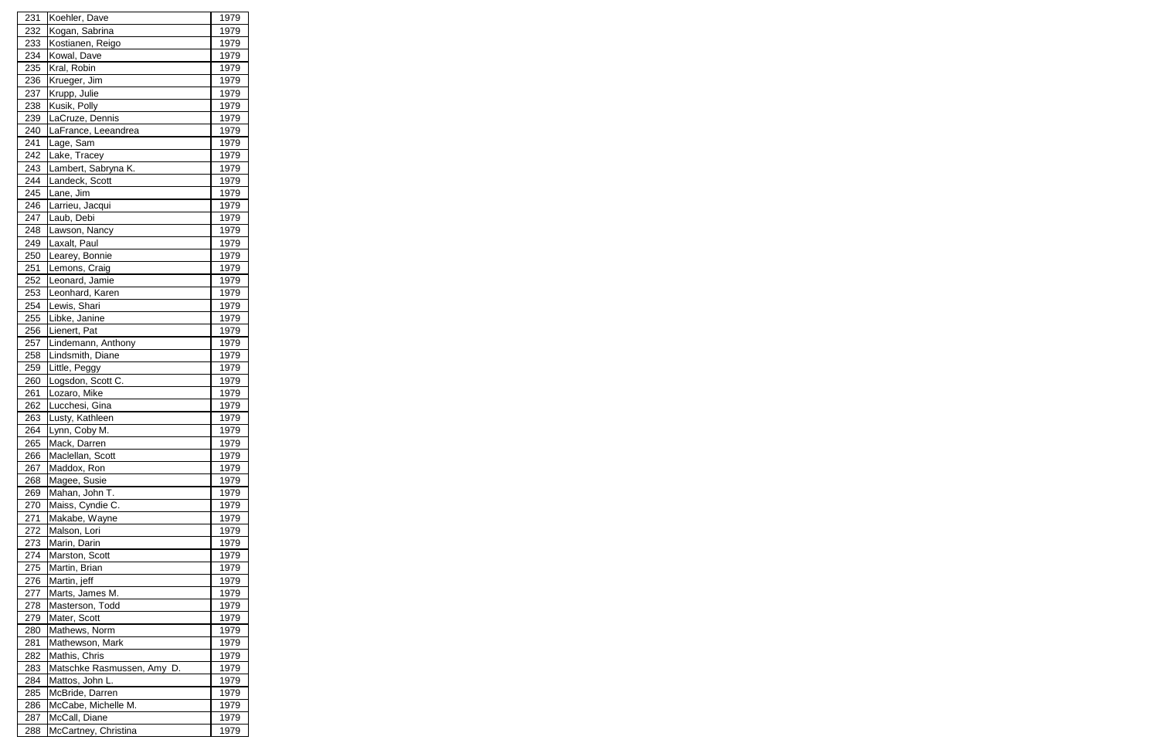| 231 | Koehler, Dave              | 1979         |
|-----|----------------------------|--------------|
| 232 | Kogan, Sabrina             | 1979         |
| 233 | Kostianen, Reigo           | 1979         |
| 234 | Kowal, Dave                | 1979         |
| 235 | Kral, Robin                | 1979         |
| 236 | Krueger, Jim               | 1979         |
| 237 | Krupp, Julie               | 1979         |
| 238 | Kusik, Polly               | 1979         |
| 239 | LaCruze, Dennis            | 1979         |
| 240 | LaFrance, Leeandrea        | 1979         |
| 241 | Lage, Sam                  | 1979         |
| 242 | Lake, Tracey               | 1979         |
| 243 | Lambert, Sabryna K.        | 1979         |
| 244 | Landeck, Scott             | 1979         |
| 245 | Lane, Jim                  | 1979         |
| 246 | Larrieu, Jacqui            | 1979         |
| 247 | Laub, Debi                 | 1979         |
| 248 | Lawson, Nancy              | 1979         |
| 249 | Laxalt, Paul               | 1979         |
| 250 | Learey, Bonnie             | 1979         |
| 251 | Lemons, Craig              | 1979         |
| 252 | Leonard, Jamie             | 1979         |
| 253 | Leonhard, Karen            | 1979         |
| 254 | Lewis, Shari               | 1979         |
| 255 | Libke, Janine              | 1979         |
| 256 | Lienert, Pat               | 1979         |
| 257 | Lindemann, Anthony         | 1979         |
| 258 | Lindsmith, Diane           | 1979         |
| 259 | Little, Peggy              | 1979         |
| 260 | Logsdon, Scott C.          | 1979         |
| 261 | Lozaro, Mike               | 1979         |
| 262 | Lucchesi, Gina             | 1979         |
| 263 | Lusty, Kathleen            | 1979         |
| 264 | Lynn, Coby M.              | <u> 1979</u> |
| 265 | Mack, Darren               | 1979         |
| 266 | Maclellan, Scott           | 1979         |
| 267 | Maddox, Ron                | 1979         |
| 268 | Magee, Susie               | 1979         |
| 269 | Mahan, John T.             | 1979         |
| 270 | Maiss, Cyndie C.           | 1979         |
| 271 | Makabe, Wayne              | 1979         |
| 272 | Malson, Lori               | 1979         |
| 273 | Marin, Darin               | 1979         |
| 274 | Marston, Scott             | 1979         |
| 275 | Martin, Brian              | 1979         |
| 276 | Martin, jeff               | 1979         |
| 277 | Marts, James M.            | 1979         |
| 278 | Masterson, Todd            | 1979         |
| 279 | Mater, Scott               | 1979         |
| 280 | Mathews, Norm              | 1979         |
| 281 | Mathewson, Mark            | 1979         |
| 282 | Mathis, Chris              | 1979         |
| 283 | Matschke Rasmussen, Amy D. | 1979         |
| 284 | Mattos, John L.            | 1979         |
| 285 | McBride, Darren            | 1979         |
| 286 | McCabe, Michelle M.        | 1979         |
| 287 | McCall, Diane              | 1979         |
| 288 | McCartney, Christina       | 1979         |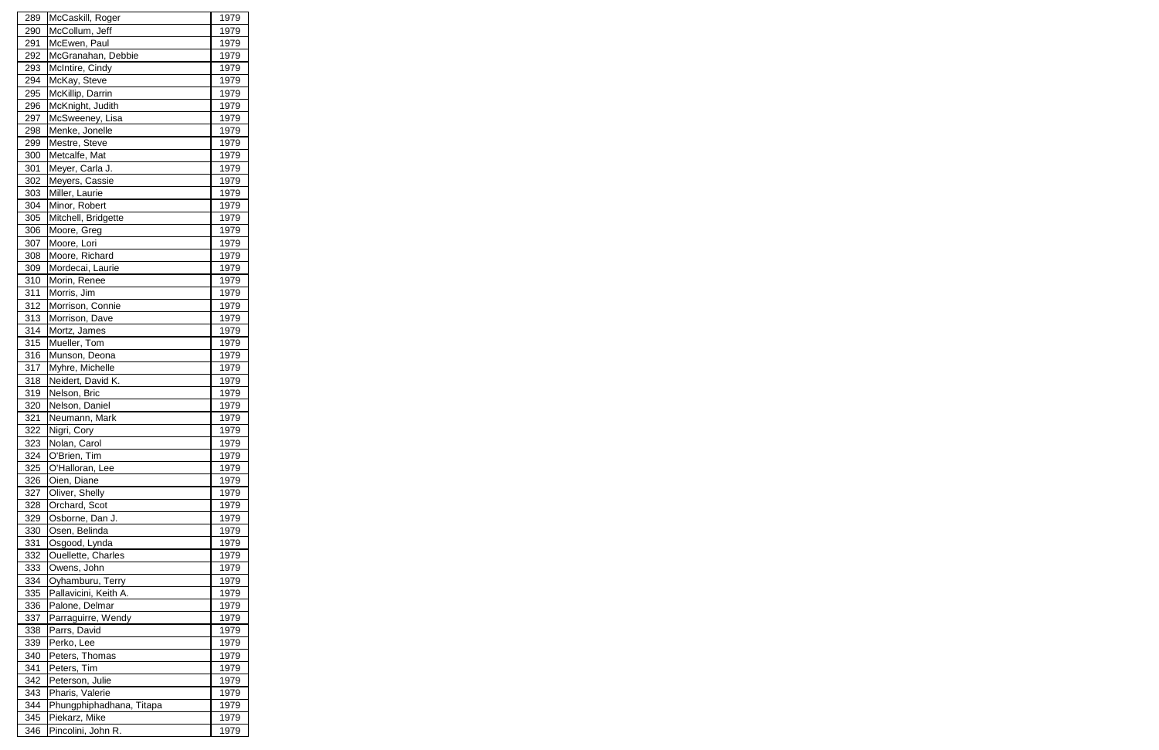| 289        | McCaskill, Roger            | 1979                 |
|------------|-----------------------------|----------------------|
| 290        | McCollum, Jeff              | 1979                 |
| 291        | McEwen, Paul                | 1979                 |
| 292        | McGranahan, Debbie          | 1979                 |
| 293        | McIntire, Cindy             | 1979                 |
| 294        | McKay, Steve                | 1979                 |
| 295        | McKillip, Darrin            | 1979                 |
| 296        | McKnight, Judith            | 1979                 |
| 297        | McSweeney, Lisa             | 1979                 |
| 298        | Menke, Jonelle              | 1979                 |
| 299        | Mestre, Steve               | 1979                 |
| 300        | Metcalfe, Mat               | 1979                 |
| 301        | Meyer, Carla J.             | 1979                 |
| 302        | Meyers, Cassie              | 1979                 |
| 303        | Miller, Laurie              | 1979                 |
| 304        | Minor, Robert               | 1979                 |
| 305        | Mitchell, Bridgette         | 1979                 |
| 306        | Moore, Greg                 | 1979                 |
| 307        | Moore, Lori                 | 1979                 |
| 308        | Moore, Richard              | 1979                 |
| 309        | Mordecai, Laurie            | 1979                 |
| 310        | Morin, Renee                | 1979                 |
| 311        | Morris, Jim                 | 1979                 |
| 312        | Morrison, Connie            | 1979                 |
| 313        | Morrison, Dave              | 1979                 |
| 314        | Mortz, James                | 1979                 |
| 315        | Mueller, Tom                | 1979                 |
| 316        | Munson, Deona               | 1979                 |
| 317        | Myhre, Michelle             | 1979                 |
| 318        | Neidert, David K.           | 1979                 |
| 319        | Nelson, Bric                | 1979                 |
| 320        | Nelson, Daniel              | 1979                 |
| 321        | Neumann, Mark               | 1979                 |
| 322        |                             |                      |
| 323        | Nigri, Cory<br>Nolan, Carol | <u> 1979</u><br>1979 |
| 324        | O'Brien, Tim                | 1979                 |
| 325        | O'Halloran, Lee             | 1979                 |
| 326        | Oien, Diane                 | 1979                 |
| 327        | Oliver, Shelly              | 1979                 |
| 328        | Orchard, Scot               | 1979                 |
| 329        | Osborne, Dan J.             | 1979                 |
| 330        | Osen, Belinda               | 1979                 |
| 331        | Osgood, Lynda               | 1979                 |
| 332        | Ouellette, Charles          | 1979                 |
| 333        | Owens, John                 | 1979                 |
|            | Oyhamburu, Terry            |                      |
| 334        | Pallavicini, Keith A.       | 1979                 |
| 335<br>336 | Palone, Delmar              | 1979<br>1979         |
|            | Parraguirre, Wendy          |                      |
| 337        |                             | 1979                 |
| 338        | Parrs, David                | 1979                 |
| 339        | Perko, Lee                  | 1979                 |
| 340        | Peters, Thomas              | 1979                 |
| 341        | Peters, Tim                 | 1979                 |
| 342        | Peterson, Julie             | 1979                 |
| 343        | Pharis, Valerie             | 1979                 |
| 344        | Phungphiphadhana, Titapa    | 1979                 |
| 345        | Piekarz, Mike               | 1979                 |
| 346        | Pincolini, John R.          | 1979                 |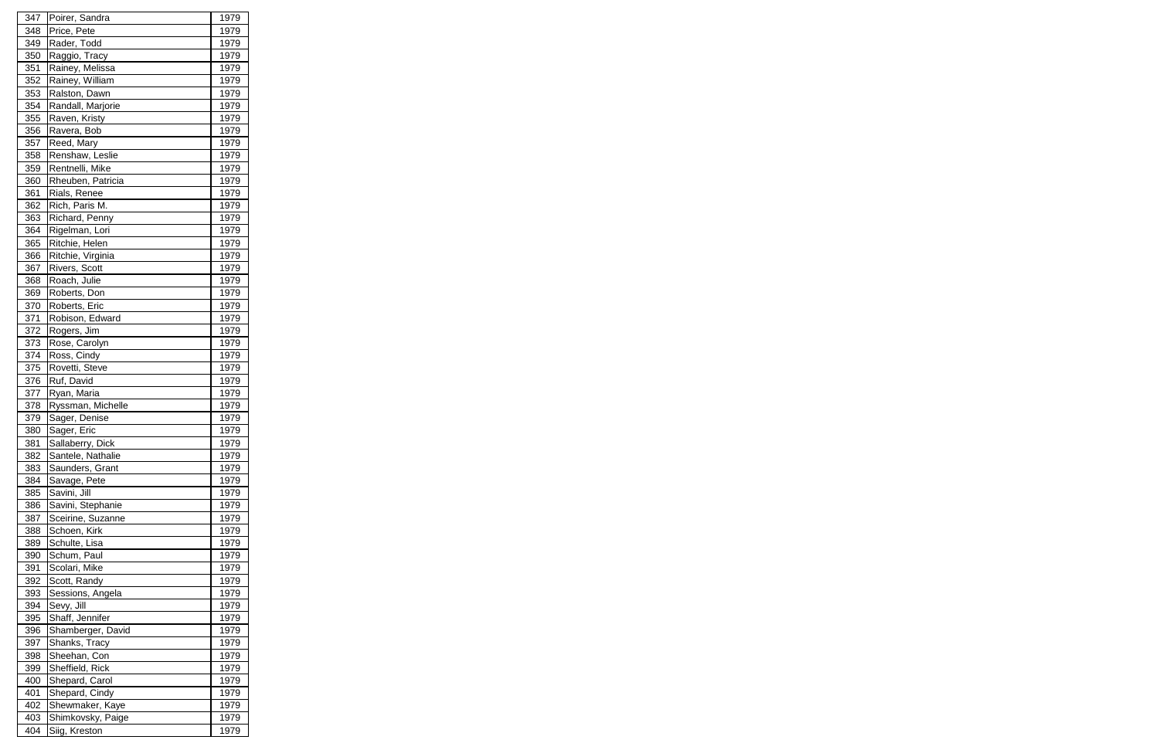| 347 | Poirer, Sandra    | 1979 |
|-----|-------------------|------|
| 348 | Price, Pete       | 1979 |
| 349 | Rader, Todd       | 1979 |
| 350 | Raggio, Tracy     | 1979 |
| 351 | Rainey, Melissa   | 1979 |
| 352 | Rainey, William   | 1979 |
| 353 | Ralston, Dawn     | 1979 |
| 354 | Randall, Marjorie | 1979 |
| 355 | Raven, Kristy     | 1979 |
| 356 | Ravera, Bob       | 1979 |
| 357 | Reed, Mary        | 1979 |
| 358 | Renshaw, Leslie   | 1979 |
| 359 | Rentnelli, Mike   | 1979 |
| 360 | Rheuben, Patricia | 1979 |
| 361 | Rials, Renee      | 1979 |
| 362 | Rich, Paris M.    | 1979 |
| 363 | Richard, Penny    | 1979 |
| 364 | Rigelman, Lori    | 1979 |
| 365 | Ritchie, Helen    | 1979 |
| 366 | Ritchie, Virginia | 1979 |
| 367 | Rivers, Scott     | 1979 |
| 368 | Roach, Julie      | 1979 |
| 369 | Roberts, Don      | 1979 |
| 370 | Roberts, Eric     | 1979 |
| 371 | Robison, Edward   | 1979 |
| 372 | Rogers, Jim       | 1979 |
| 373 | Rose, Carolyn     | 1979 |
| 374 | Ross, Cindy       | 1979 |
| 375 | Rovetti, Steve    | 1979 |
| 376 | Ruf, David        | 1979 |
| 377 | Ryan, Maria       | 1979 |
| 378 | Ryssman, Michelle | 1979 |
| 379 | Sager, Denise     | 1979 |
| 380 | Sager, Eric       | 1979 |
| 381 | Sallaberry, Dick  | 1979 |
| 382 | Santele, Nathalie | 1979 |
| 383 | Saunders, Grant   | 1979 |
| 384 | Savage, Pete      | 1979 |
| 385 | Savini, Jill      | 1979 |
| 386 | Savini, Stephanie | 1979 |
| 387 | Sceirine, Suzanne | 1979 |
| 388 | Schoen, Kirk      | 1979 |
| 389 | Schulte, Lisa     | 1979 |
| 390 | Schum, Paul       | 1979 |
| 391 | Scolari, Mike     | 1979 |
| 392 | Scott, Randy      | 1979 |
| 393 | Sessions, Angela  | 1979 |
| 394 | Sevy, Jill        | 1979 |
| 395 | Shaff, Jennifer   | 1979 |
| 396 | Shamberger, David | 1979 |
| 397 | Shanks, Tracy     | 1979 |
| 398 | Sheehan, Con      | 1979 |
| 399 | Sheffield, Rick   | 1979 |
| 400 | Shepard, Carol    | 1979 |
| 401 | Shepard, Cindy    | 1979 |
| 402 | Shewmaker, Kaye   | 1979 |
| 403 |                   |      |
|     | Shimkovsky, Paige | 1979 |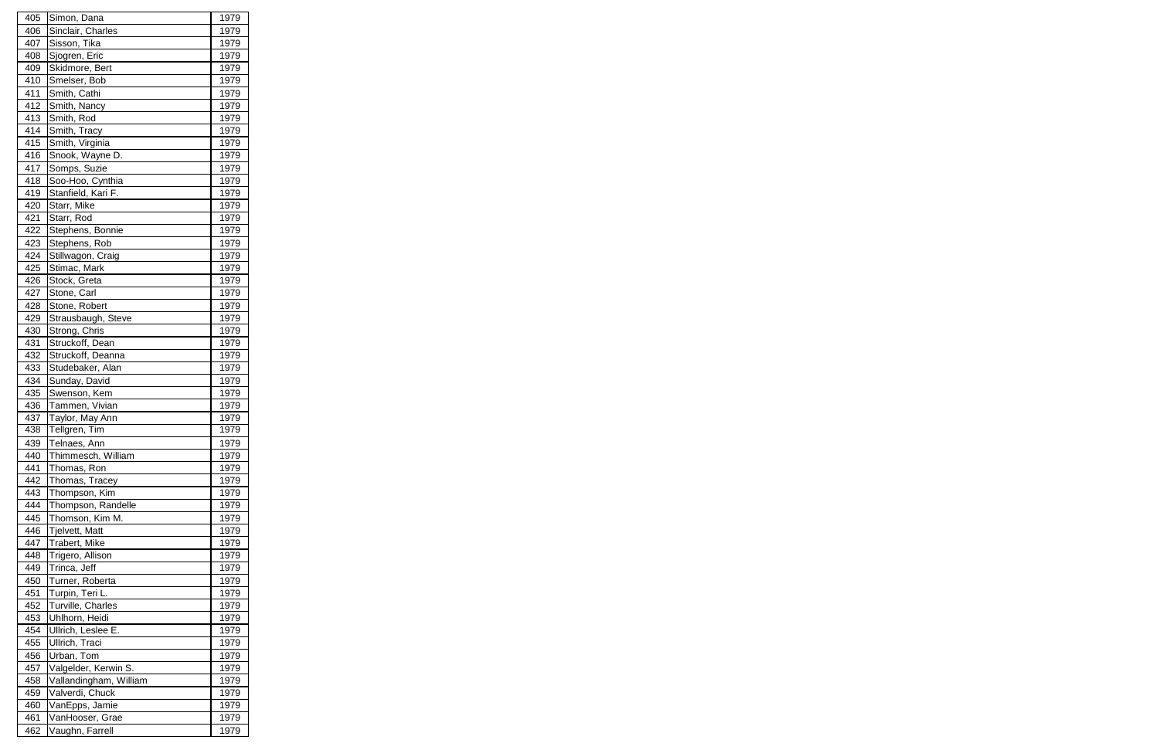| 405 | Simon, Dana            | 1979 |
|-----|------------------------|------|
| 406 | Sinclair, Charles      | 1979 |
| 407 | Sisson, Tika           | 1979 |
| 408 | Sjogren, Eric          | 1979 |
| 409 | Skidmore, Bert         | 1979 |
| 410 | Smelser, Bob           | 1979 |
| 411 | Smith, Cathi           | 1979 |
| 412 | Smith, Nancy           | 1979 |
| 413 | Smith, Rod             | 1979 |
| 414 | Smith, Tracy           | 1979 |
| 415 | Smith, Virginia        | 1979 |
| 416 | Snook, Wayne D.        | 1979 |
| 417 | Somps, Suzie           | 1979 |
| 418 | Soo-Hoo, Cynthia       | 1979 |
| 419 | Stanfield, Kari F.     | 1979 |
| 420 | Starr, Mike            | 1979 |
| 421 | Starr, Rod             | 1979 |
| 422 | Stephens, Bonnie       | 1979 |
| 423 | Stephens, Rob          | 1979 |
| 424 | Stillwagon, Craig      | 1979 |
| 425 | Stimac, Mark           | 1979 |
| 426 | Stock, Greta           | 1979 |
| 427 | Stone, Carl            | 1979 |
| 428 | Stone, Robert          | 1979 |
| 429 | Strausbaugh, Steve     | 1979 |
| 430 | Strong, Chris          | 1979 |
| 431 | Struckoff, Dean        | 1979 |
| 432 | Struckoff, Deanna      | 1979 |
| 433 | Studebaker, Alan       | 1979 |
| 434 | Sunday, David          | 1979 |
| 435 | Swenson, Kem           | 1979 |
| 436 | Tammen, Vivian         | 1979 |
| 437 | Taylor, May Ann        | 1979 |
| 438 | Tellgren, Tim          | 1979 |
| 439 | Telnaes, Ann           | 1979 |
| 440 | Thimmesch, William     | 1979 |
| 441 | Thomas, Ron            | 1979 |
| 442 | Thomas, Tracey         | 1979 |
| 443 | Thompson, Kim          | 1979 |
| 444 | Thompson, Randelle     | 1979 |
| 445 | Thomson, Kim M.        | 1979 |
| 446 | <b>Tjelvett, Matt</b>  | 1979 |
| 447 | Trabert, Mike          | 1979 |
| 448 | Trigero, Allison       | 1979 |
| 449 | Trinca, Jeff           | 1979 |
| 450 | Turner, Roberta        | 1979 |
| 451 | Turpin, Teri L.        | 1979 |
| 452 | Turville, Charles      | 1979 |
| 453 | Uhlhorn, Heidi         | 1979 |
| 454 | Ullrich, Leslee E.     | 1979 |
| 455 | Ullrich, Traci         | 1979 |
| 456 | Urban, Tom             | 1979 |
| 457 | Valgelder, Kerwin S.   | 1979 |
| 458 | Vallandingham, William | 1979 |
| 459 | Valverdi, Chuck        | 1979 |
| 460 | VanEpps, Jamie         | 1979 |
| 461 | VanHooser, Grae        | 1979 |
| 462 | Vaughn, Farrell        | 1979 |